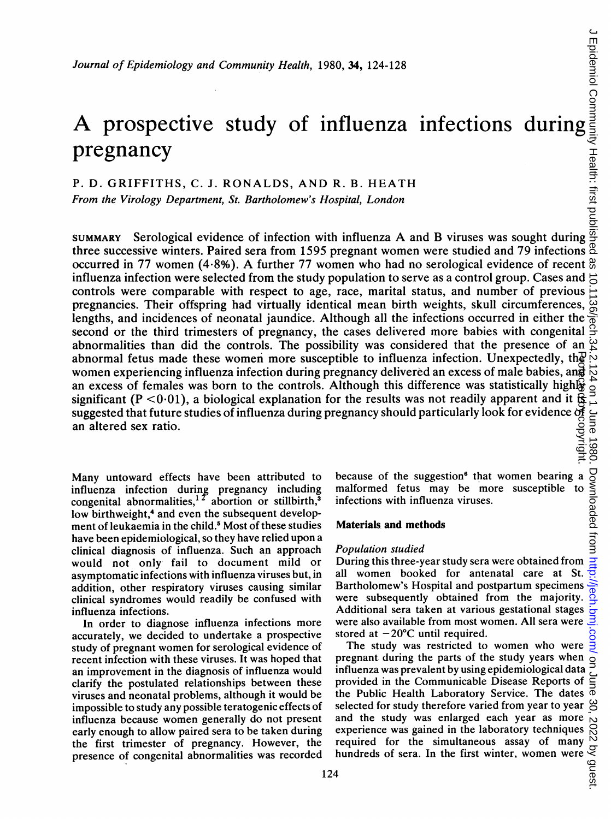# A prospective study of influenza infections during pregnancy

# P. D. GRIFFITHS, C. J. RONALDS, AND R. B. HEATH

From the Virology Department, St. Bartholomew's Hospital, London

SUMMARY Serological evidence of infection with influenza A and B viruses was sought during three successive winters. Paired sera from 1595 pregnant women were studied and 79 infections occurred in <sup>77</sup> women (4.8%). A further <sup>77</sup> women who had no serological evidence of recent influenza infection were selected from the study population to serve as a control group. Cases and  $\vec{C}$ controls were comparable with respect to age, race, marital status, and number of previous pregnancies. Their offspring had virtually identical mean birth weights, skull circumferences,  $\overline{\mathcal{G}}$ lengths, and incidences of neonatal jaundice. Although all the infections occurred in either the second or the third trimesters of pregnancy, the cases delivered more babies with congenital abnormalities than did the controls. The possibility was considered that the presence of an  $\frac{10}{10}$ abnormal fetus made these women more susceptible to influenza infection. Unexpectedly, the  $\infty$ women experiencing influenza infection during pregnancy delivered an excess of male babies, anन्ने an excess of females was born to the controls. Although this difference was statistically highlow significant (P < 0.01), a biological explanation for the results was not readily apparent and it  $\frac{1}{2}$ suggested that future studies of influenza during pregnancy should particularly look for evidence of an altered sex ratio. Protected by copyright.

Many untoward effects have been attributed to influenza infection during pregnancy including congenital abnormalities,<sup>12</sup> abortion or stillbirth,<sup>3</sup> low birthweight,<sup>4</sup> and even the subsequent development of leukaemia in the child.<sup>5</sup> Most of these studies have been epidemiological, so they have relied upon a clinical diagnosis of influenza. Such an approach would not only fail to document mild or asymptomatic infections with influenza viruses but, in addition, other respiratory viruses causing similar clinical syndromes would readily be confused with influenza infections.

In order to diagnose influenza infections more accurately, we decided to undertake a prospective study of pregnant women for serological evidence of recent infection with these viruses. It was hoped that an improvement in the diagnosis of influenza would clarify the postulated relationships between these viruses and neonatal problems, although it would be impossible to study any possible teratogenic effects of influenza because women generally do not present early enough to allow paired sera to be taken during the first trimester of pregnancy. However, the presence of congenital abnormalities was recorded because of the suggestion<sup>6</sup> that women bearing a malformed fetus may be more susceptible infections with influenza viruses.

### Materials and methods

#### Population studied

During this three-year study sera were obtained from all women booked for antenatal care at St. Bartholomew's Hospital and postpartum specimens were subsequently obtained from the majority. Additional sera taken at various gestational stages were also available from most women. All sera were stored at  $-20^{\circ}$ C until required.

The study was restricted to women who were pregnant during the parts of the study years when influenza was prevalent by using epidemiological data provided in the Communicable Disease Reports of the Public Health Laboratory Service. The dates  $\overline{\Phi}$ selected for study therefore varied from year to year  $\beta$ and the study was enlarged each year as more experience was gained in the laboratory techniques required for the simultaneous assay of many hundreds of sera. In the first winter, women were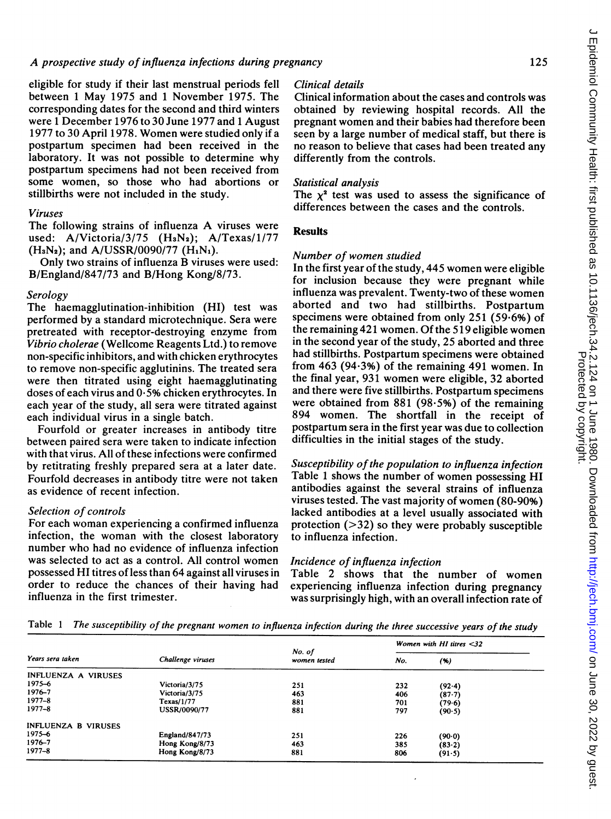eligible for study if their last menstrual periods fell between <sup>1</sup> May 1975 and <sup>1</sup> November 1975. The corresponding dates for the second and third winters were <sup>1</sup> December 1976 to 30 June 1977 and <sup>1</sup> August 1977 to 30 April 1978. Women were studied only if <sup>a</sup> postpartum specimen had been received in the laboratory. It was not possible to determine why postpartum specimens had not been received from some women, so those who had abortions or stillbirths were not included in the study.

# Viruses

The following strains of influenza A viruses were used: A/Victoria/3/75 (H<sub>3</sub>N<sub>2</sub>); A/Texas/1/77  $(H_3N_2)$ ; and A/USSR/0090/77  $(H_1N_1)$ .

Only two strains of influenza B viruses were used: B/England/847/73 and B/Hong Kong/8/73.

# Serology

The haemagglutination-inhibition (HI) test was performed by a standard microtechnique. Sera were pretreated with receptor-destroying enzyme from Vibrio cholerae (Wellcome Reagents Ltd.) to remove non-specific inhibitors, and with chicken erythrocytes to remove non-specific agglutinins. The treated sera were then titrated using eight haemagglutinating doses of each virus and  $0.5\%$  chicken erythrocytes. In each year of the study, all sera were titrated against each individual virus in a single batch.

Fourfold or greater increases in antibody titre between paired sera were taken to indicate infection with that virus. All of these infections were confirmed by retitrating freshly prepared sera at a later date. Fourfold decreases in antibody titre were not taken as evidence of recent infection.

#### Selection of controls

For each woman experiencing <sup>a</sup> confirmed influenza infection, the woman with the closest laboratory number who had no evidence of influenza infection was selected to act as a control. All control women possessed HI titres of less than 64 against all viruses in order to reduce the chances of their having had influenza in the first trimester.

# Clinical details

Clinical information about the cases and controls was obtained by reviewing hospital records. All the pregnant women and their babies had therefore been seen by a large number of medical staff, but there is no reason to believe that cases had been treated any differently from the controls.

# Statistical analysis

The  $x^2$  test was used to assess the significance of differences between the cases and the controls.

# Results

### Number of women studied

In the first year of the study, 445 women were eligible for inclusion because they were pregnant while influenza was prevalent. Twenty-two of these women aborted and two had stillbirths. Postpartum specimens were obtained from only 251 (59.6%) of the remaining 421 women. Of the 519 eligible women in the second year of the study, 25 aborted and three had stillbirths. Postpartum specimens were obtained from 463 (94.3%) of the remaining 491 women. In the final year, 931 women were eligible, 32 aborted and there were five stillbirths. Postpartum specimens were obtained from  $881$  (98.5%) of the remaining 894 women. The shortfall in the receipt of postpartum sera in the first year was due to collection difficulties in the initial stages of the study.

Susceptibility of the population to influenza infection Table <sup>1</sup> shows the number of women possessing HI antibodies against the several strains of influenza viruses tested. The vast majority of women (80-90%) lacked antibodies at a level usually associated with protection  $($ >32) so they were probably susceptible to influenza infection.

# Incidence of influenza infection

Table 2 shows that the number of women experiencing influenza infection during pregnancy was surprisingly high, with an overall infection rate of

Table <sup>1</sup> The susceptibility of the pregnant women to influenza infection during the three successive years of the study

|                            |                       |                        | Women with $HI$ titres $<$ 32 |          |  |
|----------------------------|-----------------------|------------------------|-------------------------------|----------|--|
| Years sera taken           | Challenge viruses     | No. of<br>women tested | No.                           | (96)     |  |
| INFLUENZA A VIRUSES        |                       |                        |                               |          |  |
| 1975-6                     | Victoria/3/75         | 251                    | 232                           | $(92-4)$ |  |
| 1976-7                     | Victoria/3/75         | 463                    | 406                           | (87.7)   |  |
| $1977 - 8$                 | Texas/1/77            | 881                    | 701                           | (79.6)   |  |
| $1977 - 8$                 | USSR/0090/77          | 881                    | 797                           | (90.5)   |  |
| <b>INFLUENZA B VIRUSES</b> |                       |                        |                               |          |  |
| 1975-6                     | <b>England/847/73</b> | 251                    | 226                           | (90.0)   |  |
| $1976 - 7$                 | Hong Kong/8/73        | 463                    | 385                           | (83.2)   |  |
| $1977 - 8$                 | Hong Kong/8/73        | 881                    | 806                           | (91.5)   |  |

 $\epsilon$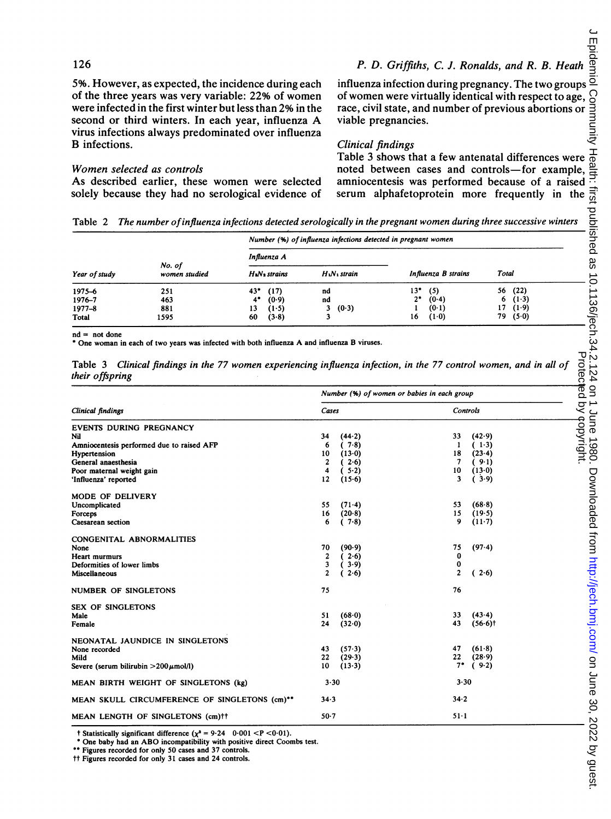# 126

P. D. Griffiths, C. J. Ronalds, and R. B. Heath

5%. However, as expected, the incidence during each of the three years was very variable: 22% of women were infected in the first winter but less than 2% in the second or third winters. In each year, influenza A virus infections always predominated over influenza B infections.

# Women selected as controls

As described earlier, these women were selected solely because they had no serological evidence of

influenza infection during pregnancy. The two groups of women were virtually identical with respect to age, race, civil state, and number of previous abortions or viable pregnancies.

# Clinical findings

Table 3 shows that a few antenatal differences were noted between cases and controls-for example, amniocentesis was performed because of a raised serum alphafetoprotein more frequently in the

Table 2 The number of influenza infections detected serologically in the pregnant women during three successive winters

| Year of study<br>1975-6 | No. of<br>women studied<br>251 | Number (%) of influenza infections detected in pregnant women |                                      |                     |              |  |  |
|-------------------------|--------------------------------|---------------------------------------------------------------|--------------------------------------|---------------------|--------------|--|--|
|                         |                                | Influenza A                                                   |                                      |                     | Total        |  |  |
|                         |                                | H <sub>a</sub> N <sub>2</sub> strains                         | H <sub>1</sub> N <sub>1</sub> strain | Influenza B strains |              |  |  |
|                         |                                | $43*$<br>(17)                                                 | nd                                   | (5)<br>13"          | (22)<br>56   |  |  |
| 1976-7                  | 463                            | 4*<br>(0.9)                                                   | nd                                   | $2^*$<br>(0.4)      | $(1-3)$<br>6 |  |  |
| $1977 - 8$              | 881                            | 13<br>(1.5)                                                   | 3 $(0.3)$                            | (0.1)               | 17<br>(1.9)  |  |  |
| Total                   | 1595                           | (3.8)<br>60                                                   |                                      | $(1-0)$<br>16       | (5.0)<br>79  |  |  |

 $nd = not done$ 

\* One woman in each of two years was infected with both influenza A and influenza B viruses.

Table 3 Clinical findings in the 77 women experiencing influenza infection, in the 77 control women, and in all of their offspring

|                                               | Number (%) of women or babies in each group |          |                |                       |  |
|-----------------------------------------------|---------------------------------------------|----------|----------------|-----------------------|--|
| Clinical findings                             | Cases                                       |          |                | Controls              |  |
| <b>EVENTS DURING PREGNANCY</b>                |                                             |          |                |                       |  |
| Nil                                           | 34                                          | (44.2)   | 33             | (42.9)                |  |
| Amniocentesis performed due to raised AFP     | 6                                           | (7.8)    | 1              | $(1-3)$               |  |
| Hypertension                                  | 10                                          | (13.0)   | 18             | (23.4)                |  |
| General anaesthesia                           | 2                                           | 2.6)     | 7              | (9.1)                 |  |
| Poor maternal weight gain                     | 4                                           | (.5.2)   | 10             | (13.0)                |  |
| 'Influenza' reported                          | 12                                          | (15.6)   | 3              | (3.9)                 |  |
| <b>MODE OF DELIVERY</b>                       |                                             |          |                |                       |  |
| Uncomplicated                                 | 55                                          | $(71-4)$ | 53             | (68.8)                |  |
| Forceps                                       | 16                                          | (20.8)   | 15             | (19.5)                |  |
| Caesarean section                             | 6                                           | (.7.8)   | 9              | $(11-7)$              |  |
| CONGENITAL ABNORMALITIES                      |                                             |          |                |                       |  |
| None                                          | 70                                          | (90.9)   | 75             | (97.4)                |  |
| <b>Heart murmurs</b>                          | 2                                           | (2.6)    | 0              |                       |  |
| Deformities of lower limbs                    | 3                                           | 3.9)     | 0              |                       |  |
| <b>Miscellaneous</b>                          | $\overline{c}$                              | 2.6)     | $\overline{2}$ | (2.6)                 |  |
| <b>NUMBER OF SINGLETONS</b>                   | 75                                          |          | 76             |                       |  |
| <b>SEX OF SINGLETONS</b>                      |                                             |          |                |                       |  |
| Male                                          | 51                                          | $(68-0)$ | 33             | (43.4)                |  |
| Female                                        | 24                                          | (32.0)   | 43             | $(56.6)$ <sup>†</sup> |  |
| NEONATAL JAUNDICE IN SINGLETONS               |                                             |          |                |                       |  |
| None recorded                                 | 43                                          | (57.3)   | 47             | (61.8)                |  |
| Mild                                          | 22                                          | (29.3)   | 22             | (28.9)                |  |
| Severe (serum bilirubin $>200 \mu$ mol/l)     | 10                                          | (13.3)   | $7^*$          | (9.2)                 |  |
| MEAN BIRTH WEIGHT OF SINGLETONS (kg)          | 3.30                                        |          | 3.30           |                       |  |
| MEAN SKULL CIRCUMFERENCE OF SINGLETONS (cm)** | 34.3                                        |          | 34.2           |                       |  |
| MEAN LENGTH OF SINGLETONS (cm)++              | $50-7$                                      |          | $51 - 1$       |                       |  |

t Statistically significant difference  $(\chi^2 = 9.24 \quad 0.001 < P < 0.01)$ .

One baby had an ABO incompatibility with positive direct Coombs test.

\*\* Figures recorded for only 50 cases and 37 controls.

tt Figures recorded for only 31 cases and 24 controls.

 $\epsilon$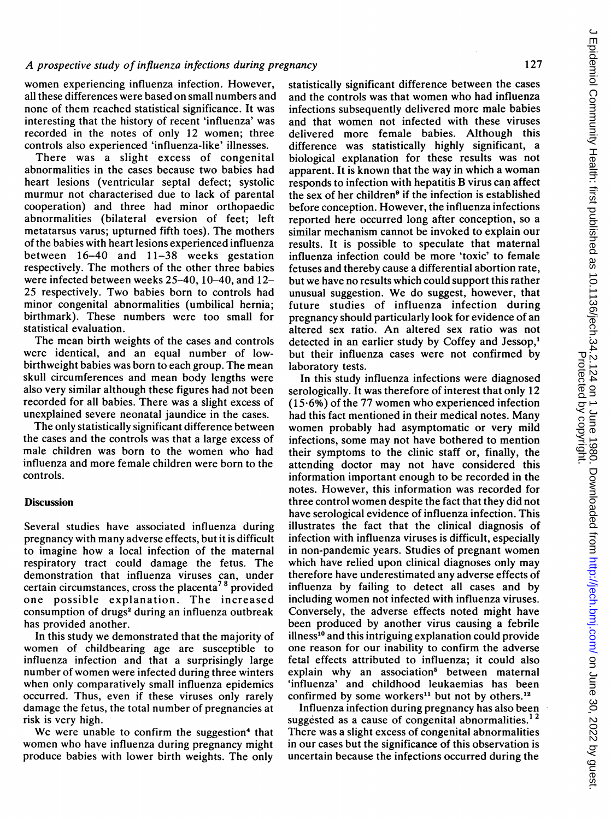women experiencing influenza infection. However, all these differences were based on small numbers and none of them reached statistical significance. It was interesting that the history of recent 'influenza' was recorded in the notes of only 12 women; three controls also experienced 'influenza-like' illnesses.

There was a slight excess of congenital abnormalities in the cases because two babies had heart lesions (ventricular septal defect; systolic murmur not characterised due to lack of parental cooperation) and three had minor orthopaedic abnormalities (bilateral eversion of feet; left metatarsus varus; upturned fifth toes). The mothers of the babies with heart lesions experienced influenza between 16-40 and 11-38 weeks gestation respectively. The mothers of the other three babies were infected between weeks 25-40, 10-40, and 12- 25 respectively. Two babies born to controls had minor congenital abnormalities (umbilical hernia; birthmark). These numbers were too small for statistical evaluation.

The mean birth weights of the cases and controls were identical, and an equal number of lowbirthweight babies was born to each group. The mean skull circumferences and mean body lengths were also very similar although these figures had not been recorded for all babies. There was a slight excess of unexplained severe neonatal jaundice in the cases.

The only statistically significant difference between the cases and the controls was that a large excess of male children was born to the women who had influenza and more female children were born to the controls.

#### **Discussion**

Several studies have associated influenza during pregnancy with many adverse effects, but it is difficult to imagine how a local infection of the maternal respiratory tract could damage the fetus. The demonstration that influenza viruses can, under certain circumstances, cross the placenta<sup>78</sup> provided one possible explanation. The increased consumption of drugs<sup>2</sup> during an influenza outbreak has provided another.

In this study we demonstrated that the majority of women of childbearing age are susceptible to influenza infection and that a surprisingly large number of women were infected during three winters when only comparatively small influenza epidemics occurred. Thus, even if these viruses only rarely damage the fetus, the total number of pregnancies at risk is very high.

We were unable to confirm the suggestion<sup>4</sup> that women who have influenza during pregnancy might produce babies with lower birth weights. The only

statistically significant difference between the cases and the controls was that women who had influenza infections subsequently delivered more male babies and that women not infected with these viruses delivered more female babies. Although this difference was statistically highly significant, a biological explanation for these results was not apparent. It is known that the way in which <sup>a</sup> woman responds to infection with hepatitis B virus can affect the sex of her children<sup>9</sup> if the infection is established before conception. However, the influenza infections reported here occurred long after conception, so a similar mechanism cannot be invoked to explain our results. It is possible to speculate that maternal influenza infection could be more 'toxic' to female fetuses and thereby cause a differential abortion rate, but we have no results which could support this rather unusual suggestion. We do suggest, however, that future studies of influenza infection during pregnancy should particularly look for evidence of an altered sex ratio. An altered sex ratio was not detected in an earlier study by Coffey and Jessop,' but their influenza cases were not confirmed by laboratory tests.

In this study influenza infections were diagnosed serologically. It was therefore of interest that only 12 (15-6%) of the 77 women who experienced infection had this fact mentioned in their medical notes. Many women probably had asymptomatic or very mild infections, some may not have bothered to mention their symptoms to the clinic staff or, finally, the attending doctor may not have considered this information important enough to be recorded in the notes. However, this information was recorded for three control women despite the fact that they did not have serological evidence of influenza infection. This illustrates the fact that the clinical diagnosis of infection with influenza viruses is difficult, especially in non-pandemic years. Studies of pregnant women which have relied upon clinical diagnoses only may therefore have underestimated any adverse effects of influenza by failing to detect all cases and by including women not infected with influenza viruses. Conversely, the adverse effects noted might have been produced by another virus causing a febrile illness<sup>10</sup> and this intriguing explanation could provide one reason for our inability to confirm the adverse fetal effects attributed to influenza; it could also explain why an association' between maternal 'influenza' and childhood leukaemias has been confirmed by some workers<sup>11</sup> but not by others.<sup>12</sup>

Influenza infection during pregnancy has also been suggested as a cause of congenital abnormalities.<sup>12</sup> There was a slight excess of congenital abnormalities in our cases but the significance of this observation is uncertain because the infections occurred during the  $\epsilon$